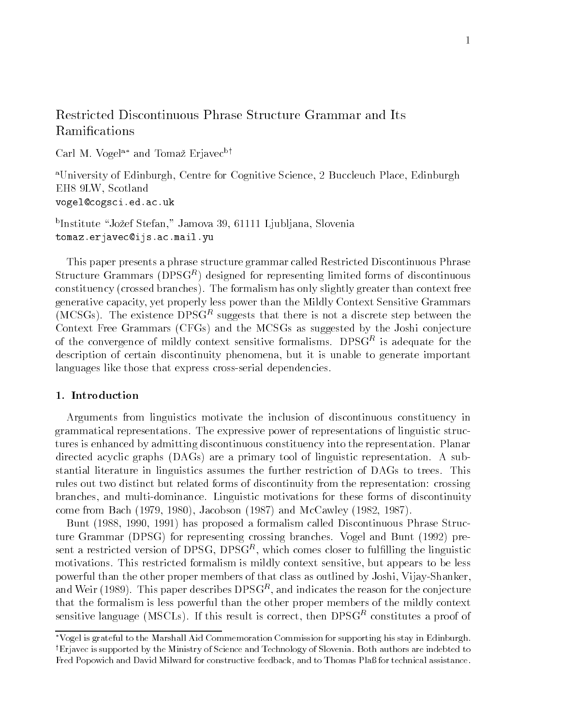# Restricted Discontinuous Phrase Structure Grammar and Its

Carl M. Vogel and Tomaz Erjavec by

<sup>a</sup>University of Edinburgh, Centre for Cognitive Science, 2 Buccleuch Place, Edinburgh EH8 9LW. Scotland vogel-cogsciedacuk

"Institute" Jozef Stefan, "Jamova 39, 01111 Ljubljana, Slovenia" – tomazerjavec-ijsacmailyu

This paper presents a phrase structure grammar called Restricted Discontinuous Phrase Structure Grammars (DPSG<sup>--</sup>) designed for representing limited forms of discontinuous constituency crossed branches
- The formalism has only slightly greater than context free generative capacity, yet properly less power than the Mildly Context Sensitive Grammars (MCSGs). The existence DPSG<sup>re</sup> suggests that there is not a discrete step between the Context Free Grammars (CFGs) and the MCSGs as suggested by the Joshi conjecture of the convergence of mildly context sensitive formalisms. DPSG<sup>r</sup> is adequate for the description of certain discontinuity phenomena, but it is unable to generate important languages like those that express cross-serial dependencies.

Arguments from linguistics motivate the inclusion of discontinuous constituency in grammatical representations- representations power of representations of representations of representations of tures is enhanced by admitting discontinuous constituency into the representation- Planar directed acyclic graphs DAGs
 are a primary tool of linguistic representation- A sub stantial literature in linguistics assumes the further restriction of DAGs to trees- This rules out two distinct but related forms of discontinuity from the representation: crossing branches and multiplominance-motivations forms of the forms forms of the forms of the forms of the forms of th come from Bach  $(1979, 1980)$ , Jacobson  $(1987)$  and McCawley  $(1982, 1987)$ .

Bunt (1988, 1990, 1991) has proposed a formalism called Discontinuous Phrase Struc- $\mathcal{N}$  is a formulated branches-definition  $\mathcal{N}$  and  $\mathcal{N}$  and  $\mathcal{N}$  and  $\mathcal{N}$  and  $\mathcal{N}$  and  $\mathcal{N}$  and  $\mathcal{N}$  and  $\mathcal{N}$  and  $\mathcal{N}$  and  $\mathcal{N}$  and  $\mathcal{N}$  and  $\mathcal{N}$  and  $\mathcal{N}$  and  $\mathcal{N}$  $\mathop{\rm semi}$  a restricted version of DPSG, DPSG", which comes closer to fulllining the linguistic motivations- This restricted formalism is mildly context sensitive but appears to be less powerful than the other proper members of that class as outlined by Joshi, Vijay-Shanker, and well (1989). This paper describes  $DPSG^+,$  and indicates the reason for the conjecture  $\blacksquare$ that the formalism is less powerful than the other proper members of the mildly context  $s$ ensitive language (MSCLs). If this result is correct, then DPSGP constitutes a proof of

Vogel is grateful to the Marshall Aid Commemoration Commission for supporting his stay in EdinburghyErjavec is supported by the Ministry of Science and Technology of Slovenia- Both authors are indebted to Fred Popowich and David Milward for constructive feedback, and to Thomas Plaß for technical assistance.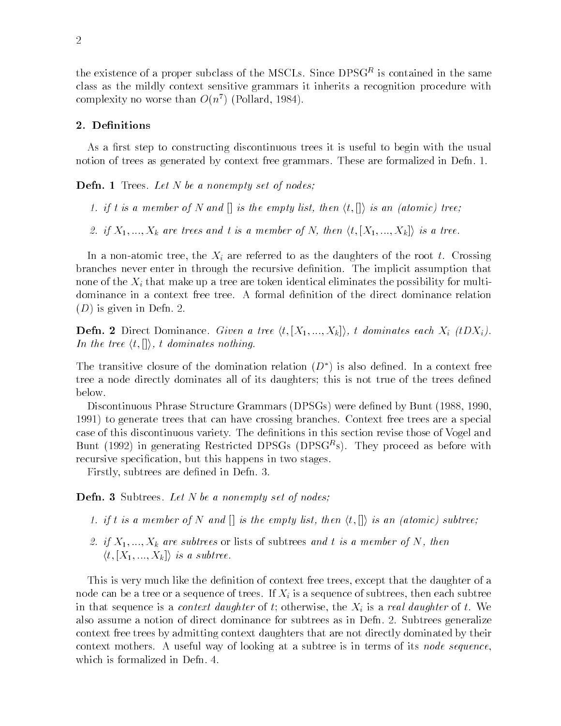the existence of a proper subclass of the MSCLs. Since  $DPSG^+$  is contained in the same class as the mildly context sensitive grammars it inherits a recognition procedure with complexity no worse than  $O(n^+)$  (Pollard, 1984).

As a first step to constructing discontinuous trees it is useful to begin with the usual notion of trees as generated by context free grammars- These are formalized in Defn- -

Defn- Trees Let N be a nonempty set of nodes-

- 1. if t is a member of N and  $[]$  is the empty list, then  $\langle t, [] \rangle$  is an (atomic) tree;
- 2. if  $X_1, ..., X_k$  are trees and t is a member of N, then  $\langle t, [X_1, ..., X_k] \rangle$  is a tree.

In a non-to-tree the Xi are referred to as the  $\alpha$ branches are in the implicit assumption in the implicit assumption that  $\mathbf{r}_1$  assumption that  $\mathbf{r}_2$ none of the  $X_i$  that make up a tree are token identical eliminates the possibility for multi- $\blacksquare$  is given in Defn-Linux in Defn-Linux in Defn-Linux in Defn-Linux in Defn-Linux in Defn-Linux in Defn-Linux in Defn-Linux in Defn-Linux in Defn-Linux in Defn-Linux in Defn-Linux in Defn-Linux in Defn-Linux in Defn-L

**Defn. 2** Direct Dominance. *Given a tree*  $\langle t, [X_1, ..., X_k] \rangle$ , t dominates each  $X_i$  (tDX<sub>i</sub>). In the tree  $\langle t, [] \rangle$ , t dominates nothing.

The transitive closure of the domination relation (D) is also defined. In a context free tree a node directly dominates all of its daughters; this is not true of the trees defined below-

Discontinuous Phrase Structure Grammars (DPSGs) were defined by Bunt (1988, 1990, to generate trees that can have crossing branches- Context free trees are a special case of this discontinuous variety. This section review is the section for the section  $\mathcal{A}$  is used Bunt (1992) in generating restricted DPSGs (DPSG\*s). They proceed as before with recursive specification, but this happens in two stages.

Firstly subtrees are dened in Defn- -

er aan defnammen van de defnammente set of de meeste of de meeste of nodes-

- 1. if t is a member of N and  $[]$  is the empty list, then  $\langle t, [] \rangle$  is an (atomic) subtree;
- if is a relative or lists of subtrees or the subtrees of subtrees or in the subtrees and the subtrees of  $\alpha$  $\langle t,[X_1,...,X_k] \rangle$  is a subtree.

This is very much like the definition of context free trees, except that the daughter of a node can be a tree or a sequence of trees-sequence of trees-sequence of subtrees then each subtrees then each subtrees then each subtrees then each subtrees then each subtrees then each subtrees then each subtrees then ea in that sequence is a context daughter of t otherwise the Xi is a real daughter of t- We also assume a notion of direct dominance for subtrees as in Definition of subtrees  $\bigwedge\limits_{i=1}^n\mathcal{A}_i$ context free trees by admitting context daughters that are not directly dominated by their context mothers-is in the subtree is its nodes in terms of the subtree is its node sequence,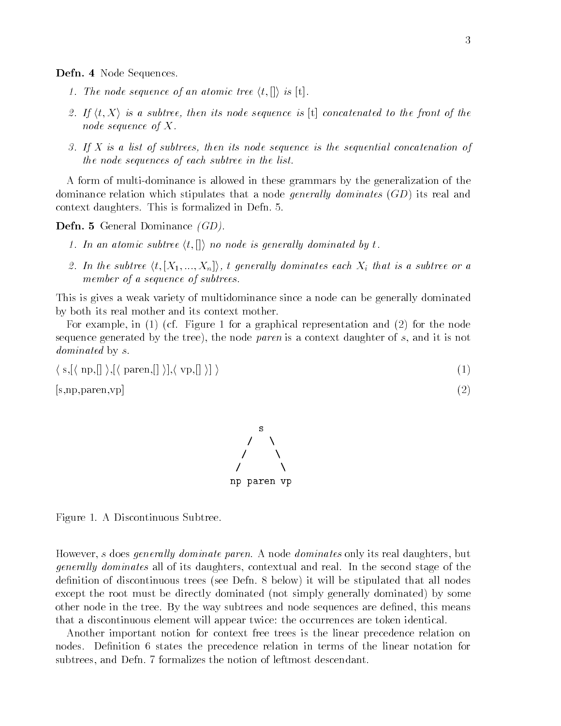- - - - - - - - - - - - - - - - - - -

- 1. The node sequence of an atomic tree  $\langle t, \langle \rangle \rangle$  is  $[t]$ .
- 2. If  $\langle t, X \rangle$  is a subtree, then its node sequence is [t] concatenated to the front of the node sequence of  $X$ .
- 3. If X is a list of subtrees, then its node sequence is the sequential concatenation of the node sequences of each subtree in the list

A form of multi-dominance is allowed in these grammars by the generalization of the dominance relation which stipulates that a node *generally dominates*  $(GD)$  its real and  $\mathcal{T}$  daughters-dimensionalized in Defn-

Defn- General Dominance GD

- 1. In an atomic subtree  $\langle t, \left[\right] \rangle$  no node is generally dominated by t.
- 2. In the subtree  $\langle t,[X_1,...,X_n]\rangle$ , t generally dominates each  $X_i$  that is a subtree or a member of a sequence of subtrees.

This is gives a weak variety of multidominance since a node can be generally dominated by both its real mother and its context mother.

For example in the form  $\mathcal{L}_{\mathbf{A}}$  and  $\mathcal{L}_{\mathbf{A}}$  representation and  $\mathcal{L}_{\mathbf{A}}$  and  $\mathcal{L}_{\mathbf{A}}$ sequence generated by the tree), the node paren is a context daughter of s, and it is not dominated by s.

$$
\langle s, [\langle np, [] \rangle, [\langle paren, [] \rangle], \langle vp, [] \rangle] \rangle \tag{1}
$$

s-np-paren- $\mathbf{v}$  and  $\mathbf{v}$  and  $\mathbf{v}$  and  $\mathbf{v}$  and  $\mathbf{v}$  and  $\mathbf{v}$  and  $\mathbf{v}$  and  $\mathbf{v}$  and  $\mathbf{v}$  and  $\mathbf{v}$  and  $\mathbf{v}$  and  $\mathbf{v}$  and  $\mathbf{v}$  and  $\mathbf{v}$  and  $\mathbf{v}$  and  $\mathbf{v}$  and  $\mathbf{v}$  and

 np paren vp

Figure - A Discontinuous Subtree-

However s does general ly dominate paren- A node dominates only its real daughters but general all of its data ly dominates all of the second stage contextual and real-second stage of the stage of denition of discontinuous trees see Defn- below
 it will be stipulated that all nodes except the root must be directly dominated (not simply generally dominated) by some other are no de the trees and the way subtrees and no density are denoted the means of the means are denoted that a discontinuous element will appear twice: the occurrences are token identical.

Another important notion for context free trees is the linear precedence relation on nodes- Denition states the precedence relation in terms of the linear notation for subtrees and Defn- formalizes the notion of leftmost descendant-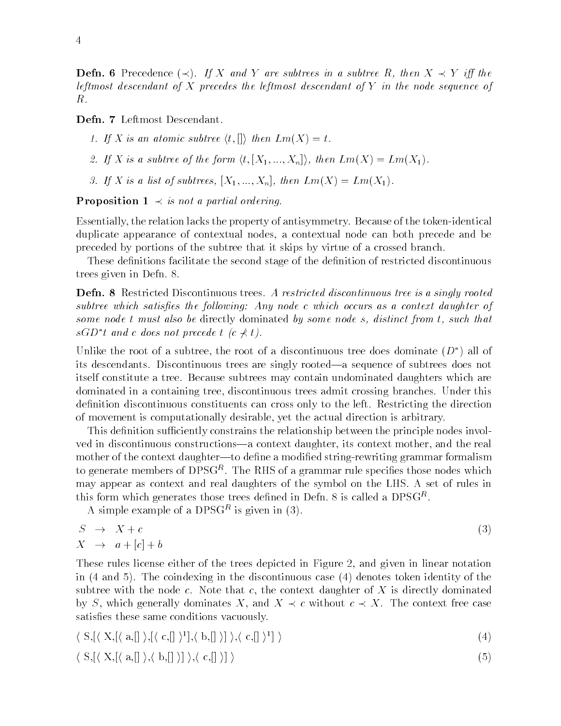**Defn. 6** Precedence  $(\prec)$ . If X and Y are subtrees in a subtree R, then  $X \prec Y$  iff the leftmost descendant of  $X$  precedes the leftmost descendant of  $Y$  in the node sequence of

1. If X is an atomic subtree  $\langle t, \langle \rangle \rangle$  then  $Lm(X) = t$ .

2. If X is a subtree of the form  $\langle t,[X_1,...,X_n]\rangle$ , then  $Lm(X) = Lm(X_1)$ .

If is a list of the subtrees in the list of  $\mu$  is the subtrees  $\tau$  . Then  $\tau$  is a list of  $\tau$ 

**Proposition**  $1 \prec$  is not a partial ordering.

Essentially the relation lacks the property of antisymmetry- Because of the tokenidentical duplicate appearance of contextual nodes a contextual node can both precede and be preceded by portions of the subtree that it skips by virtue of a crossed branch-

These definitions facilitate the second stage of the definition of restricted discontinuous trees given in Definition in Definition of the Definition of the Definition of the Definition of the Definitio

Defn- Restricted Discontinuous trees Arestricted discontinuous tree is a singly rooted subtree which satis es the fol lowing Any node c which occurs as a context daughter of some node t must also be directly dominated by some node s, distinct from t, such that  $sGD^*t$  and c does not precede  $t$  (c  $\not\prec t$ ).

Unlike the root of a subtree, the root of a discontinuous tree does dominate  $(D^*)$  all of its descendants- Discontinuous trees are singly rooteda sequence of subtrees does not itself constitute a tree- Because subtrees may contain undominated daughters which are dominated in a containing tree discontinuous trees admit crossing branches- Under this denition discontinuous constituents can cross only to the left-left-direction discontinuous constituents can cross only to the direction of  $\mathbf{A}$ of movement is computationally desirable yet the actual direction is arbitrary-

This definition sufficiently constrains the relationship between the principle nodes involved in discontinuous constructions—a context daughter, its context mother, and the real mother of the context daughter—to define a modified string-rewriting grammar formalism to generate members of  $DPSG^+$ . The RHS of a grammar rule specifies those nodes which may appear as context and real daughters of the symbol on the LHS- A set of rules in this form which generates those trees defined in Defn.  $\delta$  is called a DPSG<sup>-\*</sup>.

A simple example of a DPSGT is given in (5).

$$
S \rightarrow X + c
$$
  
\n
$$
X \rightarrow a + [c] + b
$$
\n(3)

These rules license either of the trees depicted in Figure 2, and given in linear notation in the discontinuous case of the discontinuous case of the discontinuous case of the discontinuous case of the discontinuous case of the discontinuous case of the discontinuous case of the discontinuous case of the discon subtree with the node c-term that context dominated monographic context dominated and all context dominated an by S, which generally dominates X, and  $X \prec c$  without  $c \prec X$ . The context free case satisfies these same conditions vacuously.

$$
\langle S, [\langle X, [\langle a, [] \rangle, [\langle c, [] \rangle^1], \langle b, [] \rangle] \rangle, \langle c, [] \rangle^1] \rangle
$$
\n
$$
(4)
$$

$$
\langle S, [\langle X, [\langle a, [] \rangle, \langle b, [] \rangle] \rangle, \langle c, [] \rangle] \rangle
$$
\n
$$
(5)
$$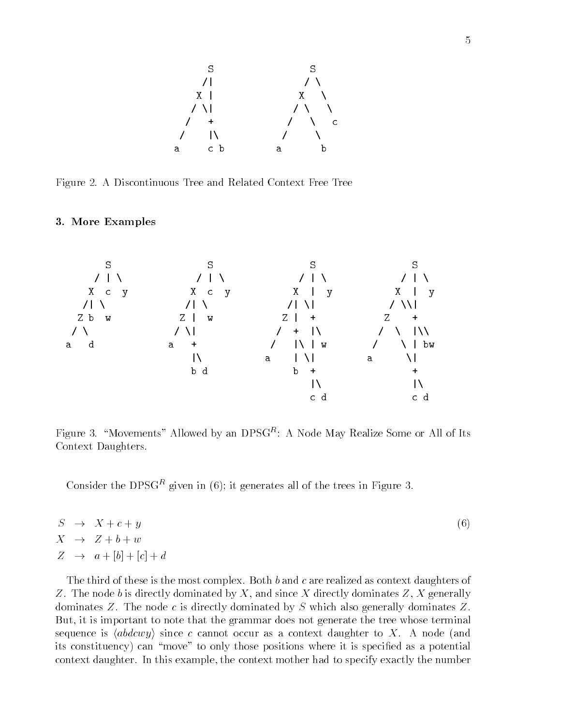

Figure - A Discontinuous Tree and Related Context Free Tree

#### - More Examples



Figure 3. Thovements' Allowed by an DPSGT: A Node May Realize Some or All of Its Context Daughters.

Consider the DPSG<sup>ra</sup> given in (6); it generates all of the trees in Figure 5.

|  | $S \rightarrow X + c + y$         | (6) |
|--|-----------------------------------|-----|
|  | $X \rightarrow Z+b+w$             |     |
|  | $Z \rightarrow a + [b] + [c] + d$ |     |

The third of the most complex-daughters of the most complex-daughters of  $\mathbf{M}$ Z- The node b is directly dominated by X and since X directly dominates Z X generally dominates at the node case  $\alpha$  is directly dominated by S which also generally dominates  $\alpha$  . But, it is important to note that the grammar does not generate the tree whose terminal sequence is  $\langle abdcwy\rangle$  since  $c$  cannot occur as a context daughter to  $X.$  A node (and its constituency) can "move" to only those positions where it is specified as a potential context daughter- In this example the context mother had to specify exactly the number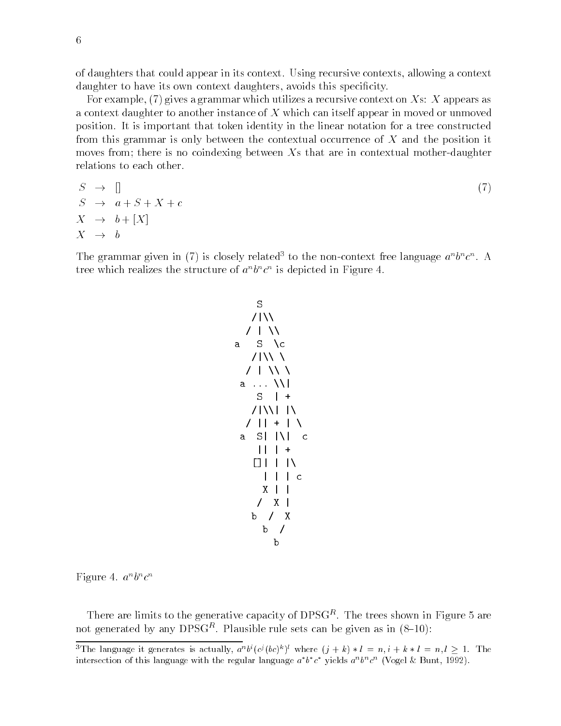of daughters that could appear in its context-could appear in its context and its context and a context of the daughter to have its own context daughters, avoids this specificity.

For example,  $(7)$  gives a grammar which utilizes a recursive context on Xs: X appears as a context daughter to another instance of X which can itself appear in moved or unmoved position- It is important that token identity in the linear notation for a tree constructed from this grammar is only between the contextual occurrence of X and the position it moves from; there is no coindexing between  $X_s$  that are in contextual mother-daughter relations to each other.

$$
S \rightarrow []
$$
  
\n
$$
S \rightarrow a + S + X + c
$$
  
\n
$$
X \rightarrow b + [X]
$$
  
\n
$$
X \rightarrow b
$$
  
\n(7)

The grammar given in (*i*) is closely related to the non-context free language  $a^{\top}b^{\top}c^{\top}$ . A tree which realizes the structure of  $a^{\circ}b^{\circ}c^{\circ}$  is depicted in Figure 4.

$$
\begin{array}{c|c}\nS & & & & \\
\hline\n\end{array}
$$
\na\n
$$
\begin{array}{c|c}\nS & & & \\
\hline\n\end{array}
$$
\na\n
$$
\begin{array}{c|c}\nS & & & \\
\hline\n\end{array}
$$
\nb\n
$$
\begin{array}{c|c}\n1 & & & \\
\hline\n\end{array}
$$
\nc\n
$$
\begin{array}{c|c}\n1 & & & \\
\hline\n\end{array}
$$
\n
$$
\begin{array}{c|c}\n1 & & & \\
\hline\n\end{array}
$$
\nc\n
$$
\begin{array}{c|c}\n1 & & & \\
\hline\n\end{array}
$$
\n
$$
\begin{array}{c|c}\n1 & & & \\
\hline\n\end{array}
$$
\n
$$
\begin{array}{c|c}\n1 & & & \\
\hline\n\end{array}
$$
\n
$$
\begin{array}{c|c}\n\end{array}
$$
\n
$$
\begin{array}{c|c}\n\end{array}
$$
\n
$$
\begin{array}{c|c}\n\end{array}
$$
\n
$$
\begin{array}{c|c}\n\end{array}
$$
\n
$$
\begin{array}{c|c}\n\end{array}
$$
\nb\n
$$
\begin{array}{c}\n\end{array}
$$

rigure 4.  $a \overline{\phantom{a}}$ .  $c$ 

There are limits to the generative capacity of DPSG<sup>P</sup>. The trees shown in Figure 5 are not generated by any  $DPSG^+$ . Plausible rule sets can be given as in  $(S-10)$ :

The language it generates is actually,  $a^*b^*(c^*(b c)^*)$  where  $(j + k) * b = n, i + k * b = n, i \ge 1$ . The intersection of this language with the regular language  $a$   $b$   $c$  -yields  $a \cdot b \cdot c \cdot$  (vogel  $\infty$  Dunt, 1992).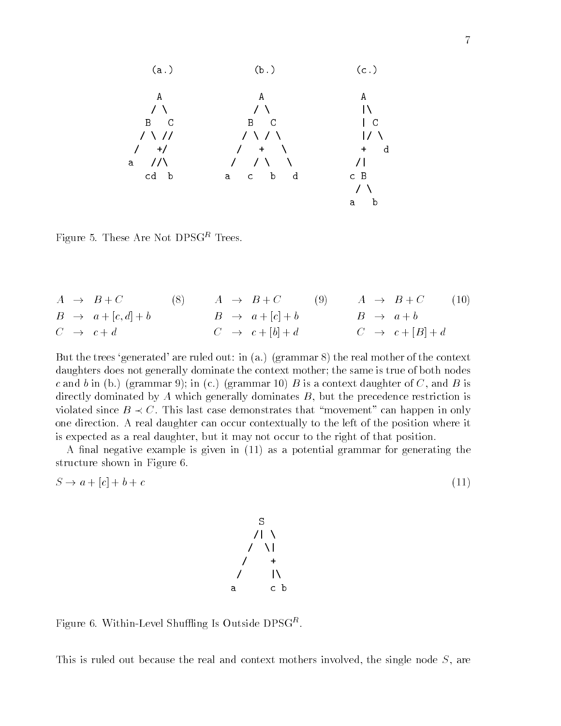a a b c C 

rigure 5. These Are Not Dr SG<sup>r</sup> Trees.

|  | $A \rightarrow B+C$            | (8) | $A \rightarrow B+C$         | (9) | $A \rightarrow B+C$         | (10) |
|--|--------------------------------|-----|-----------------------------|-----|-----------------------------|------|
|  | $B \rightarrow a + [c, d] + b$ |     | $B \rightarrow a + [c] + b$ |     | $B \rightarrow a+b$         |      |
|  | $C \rightarrow c+d$            |     | $C \rightarrow c + [b] + d$ |     | $C \rightarrow c + [B] + d$ |      |

 $\mathbf{f}$ daughters does not generally dominate the context mother; the same is true of both nodes context is a context of the proportion of the context of  $\alpha$  is a context of  $\alpha$  is a context of  $\alpha$  is a context of  $\alpha$ directly dominated by  $A$  which generally dominates  $B$ , but the precedence restriction is violated since  $B \prec C$ . This last case demonstrates that "movement" can happen in only one direction- to real direction- can occur contextually to the position position where it is expected as a real daughter, but it may not occur to the right of that position.

A final negative example is given in  $(11)$  as a potential grammar for generating the structure shown in Figure 6.

$$
S \to a + [c] + b + c \tag{11}
$$



 $r$  igure 0. Within-Level Shuming is Outside DPSG.

This is ruled out because the real and context mothers involved, the single node  $S$ , are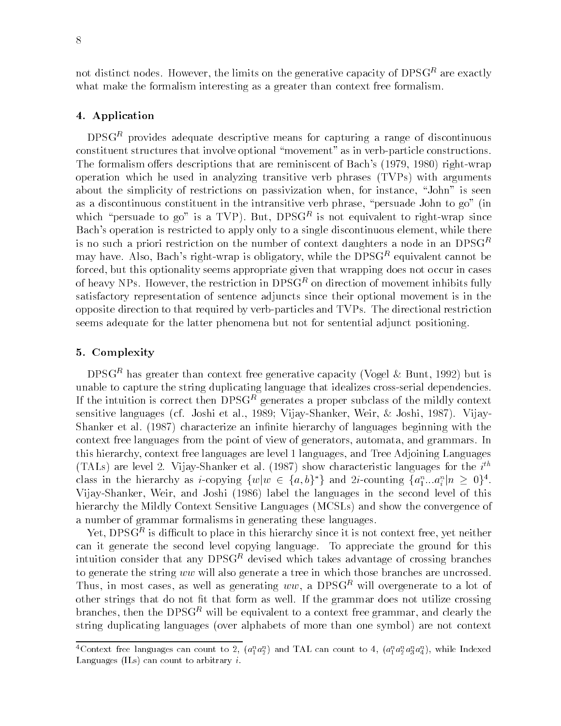not distinct nodes- However the limits on the generative capacity of DPSGR are exactly what make the formalism interesting as a greater than context free formalism.

### - Application of the contract of the contract of the contract of the contract of the contract of the contract of the contract of the contract of the contract of the contract of the contract of the contract of the contract

DPSGR provides adequate descriptive means for capturing a range of discontinuous constituent structures that involve optional "movement" as in verb-particle constructions. The formalism offers descriptions that are reminiscent of Bach's (1979, 1980) right-wrap  $o$  peration which he used in analyzing transitive verb phrases  $(TVPs)$  with arguments about the simplicity of restrictions on passivization when, for instance, "John" is seen as a discontinuous constituent in the intransitive verb phrase, "persuade John to  $g_0$ " (in which persuade to go is a TVP). But,  $DPSG^+$  is not equivalent to right-wrap since Bach's operation is restricted to apply only to a single discontinuous element, while there is no such a priori restriction on the number of context daughters a node in an  $DPSG<sup>R</sup>$ may have- Also Bachs rightwrap is obligatory while the DPSGR equivalent cannot be forced, but this optionality seems appropriate given that wrapping does not occur in cases of neavy NPs. However, the restriction in DPSG\* on direction of movement inhibits fully satisfactory representation of sentence adjuncts since their optional movement is in the opposite direction to that requirem by verbally series and TVPs- and TVPs- and TVPs- and TVPs- and TVPsseems adequate for the latter phenomena but not for sentential adjunct positioning-

## -Complexity - Complexity - Complexity - Complexity - Complexity - Complexity - Complexity - Complexity - Complexity - Complexity - Complexity - Complexity - Complexity - Complexity - Complexity - Complexity - Complexity -

 $D$ PSG<sup>r -</sup> has greater than context free generative capacity (vogel  $\alpha$  bunt, 1992) but is unable to capture the string duplicating language that idealizes cross-serial dependencies. If the intuition is correct then  $DPSG^+$  generates a proper subclass of the mildly context  $\blacksquare$ sensitive analysis (i.e. contact of mail action). Wennessen is sensited to a contact and it is a specific Shanker et al- 
 characterize an innite hierarchy of languages beginning with the context free languages from the point of view of generators automata and grammars- In this hierarchy, context free languages are level 1 languages, and Tree Adjoining Languages (TALs) are level 2. Vijay-Shanker et al. (1987) show characteristic languages for the  $i^{\cdots}$ class in the hierarchy as *i*-copying  $\{w|w \in \{a,b\}^*\}$  and 2*i*-counting  $\{a_1^n...a_i^n|n \geq 0\}^4$ . Vijay-Shanker, Weir, and Joshi (1986) label the languages in the second level of this hierarchy the Mildly Context Sensitive Languages (MCSLs) and show the convergence of a number of grammar formalisms in generating these languages.

Yet DPSGR is dicult to place in this hierarchy since it is not context free yet neither can it generate the second college copying language- in the ground for the component for the ground for the ground for intuition consider that any DPSGR devised which takes advantage of crossing branches to generate the string ww will also generate a tree in which those branches are uncrossed. Thus, in most cases, as well as generating  $ww$ , a DPSG<sup>R</sup> will overgenerate to a lot of other strings that form as well-does not that form as well-does not utilize crossing the grammar does not utilize coros branches, then the  $DPSG<sup>R</sup>$  will be equivalent to a context free grammar, and clearly the string duplicating languages (over alphabets of more than one symbol) are not context

<sup>-</sup>Context free languages can count to 2,  $(a_1 a_2)$  and TAL can count to 4,  $(a_1 a_2 a_3 a_4)$ , while indexed Languages (ILs) can count to arbitrary i.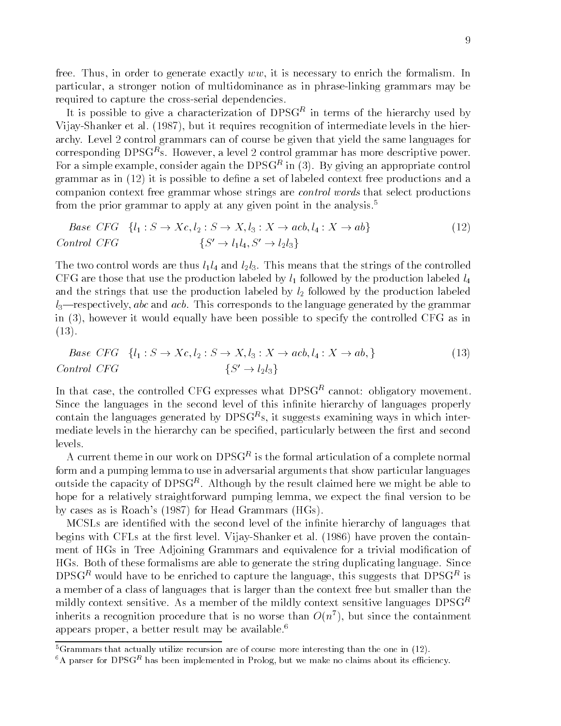free- Thus in order to generate exactly ww it is necessary to enrich the formalism- In particular a stronger notion of multidominance as in phraselinking grammars may be required to capture the cross-serial dependencies.

It is possible to give a characterization of  $DPSG^*$  in terms of the hierarchy used by  $\blacksquare$ VijayShanker et al- 
 but it requires recognition of intermediate levels in the hier archy-control control grammars can of course be given that yield the same languages for  $\rm corresponding\ DPSG^+s.$  However, a level  $\rm z$  control grammar has more descriptive power. For a simple example, consider again the DPSGP in (5). By giving an appropriate control grammar as in  $(12)$  it is possible to define a set of labeled context free productions and a companion context free grammar whose strings are control words that select productions from the prior grammar to apply at any given point in the analysis-

$$
Base CFG \{l_1: S \to Xc, l_2: S \to X, l_3: X \to acb, l_4: X \to ab\}
$$
\n
$$
Control CFG \{S' \to l_1 l_4, S' \to l_2 l_3\}
$$
\n
$$
(12)
$$

The two control words are the strings line strings of the strings of the strings of the controlled the strings CFG are those that use the production labeled by  $l_1$  followed by the production labeled  $l_4$ and the strings that use the production labeled by  $l_2$  followed by the production labeled lrespectively abc and acb- This corresponds to the language generated by the grammar in the controlled equally have been possible to specify the controlled CFG as in the controlled CFG as in the controlled CFG as in the controlled CFG as in the controlled CFG as in the controlled CFG as in the controlled C  -

$$
Base CFG \{l_1: S \to Xc, l_2: S \to X, l_3: X \to acb, l_4: X \to ab, \}
$$
\n
$$
Control CFG \{S' \to l_2 l_3\}
$$
\n
$$
(13)
$$

In that case, the controlled  $\cup$ r $\cup$  expresses what DPSGP cannot: obligatory movement. Since the languages in the second level of this infinite hierarchy of languages properly contain the languages generated by DPSGPs, it suggests examining ways in which intermediate levels in the hierarchy can be specified, particularly between the first and second levels.

A current theme in our work on DPSGT is the formal articulation of a complete normal  $\blacksquare$ form and a pumping lemma to use in adversarial arguments that show particular languages outside the capacity of  $DPSG^{\infty}$ . Although by the result claimed here we might be able to  $$ hope for a relatively straightforward pumping lemma, we expect the final version to be by cases as is Roach's  $(1987)$  for Head Grammars  $(HGs)$ .

MCSLs are identified with the second level of the infinite hierarchy of languages that is at the rst level-level-level-level-level-level-level-level-level-level-level-level-level-level-level-level-level-level-level-level-level-level-level-level-level-level-level-level-level-level-level-level-level-level-lev ment of HGs in Tree Adjoining Grammars and equivalence for a trivial modication of HGs- Both of these formalisms are able to generate the string duplicating language- Since DPSG<sup>re</sup> would have to be enriched to capture the language, this suggests that DPSG<sup>re</sup> is a member of a class of languages that is larger than the context free but smaller than the  $m$ idly context sensitive. As a member of the mildly context sensitive languages  $DPSG^+$ innerits a recognition procedure that is no worse than  $O(n^+)$ , but since the containment appears proper a better result may be available-

<sup>-</sup>Grammars that actually utilize recursion are of course-more interesting than the one in  $(12)$ .<br><sup>6</sup>A parser for DPSG<sup>R</sup> has been implemented in Prolog, but we make no claims about its efficiency.